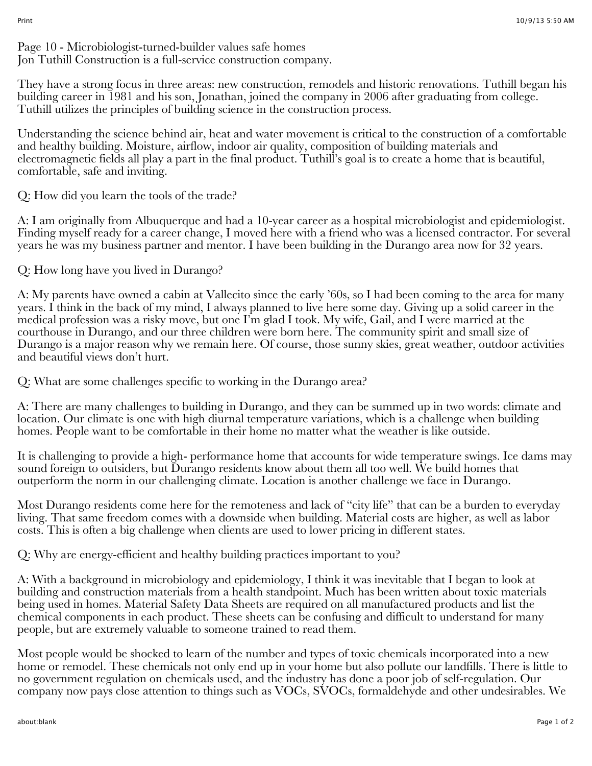Page 10 - Microbiologist-turned-builder values safe homes Jon Tuthill Construction is a full-service construction company.

They have a strong focus in three areas: new construction, remodels and historic renovations. Tuthill began his building career in 1981 and his son, Jonathan, joined the company in 2006 after graduating from college. Tuthill utilizes the principles of building science in the construction process.

Understanding the science behind air, heat and water movement is critical to the construction of a comfortable and healthy building. Moisture, airflow, indoor air quality, composition of building materials and electromagnetic fields all play a part in the final product. Tuthill's goal is to create a home that is beautiful, comfortable, safe and inviting.

Q: How did you learn the tools of the trade?

A: I am originally from Albuquerque and had a 10-year career as a hospital microbiologist and epidemiologist. Finding myself ready for a career change, I moved here with a friend who was a licensed contractor. For several years he was my business partner and mentor. I have been building in the Durango area now for 32 years.

Q: How long have you lived in Durango?

A: My parents have owned a cabin at Vallecito since the early '60s, so I had been coming to the area for many years. I think in the back of my mind, I always planned to live here some day. Giving up a solid career in the medical profession was a risky move, but one I'm glad I took. My wife, Gail, and I were married at the courthouse in Durango, and our three children were born here. The community spirit and small size of Durango is a major reason why we remain here. Of course, those sunny skies, great weather, outdoor activities and beautiful views don't hurt.

Q: What are some challenges specific to working in the Durango area?

A: There are many challenges to building in Durango, and they can be summed up in two words: climate and location. Our climate is one with high diurnal temperature variations, which is a challenge when building homes. People want to be comfortable in their home no matter what the weather is like outside.

It is challenging to provide a high- performance home that accounts for wide temperature swings. Ice dams may sound foreign to outsiders, but Durango residents know about them all too well. We build homes that outperform the norm in our challenging climate. Location is another challenge we face in Durango.

Most Durango residents come here for the remoteness and lack of "city life" that can be a burden to everyday living. That same freedom comes with a downside when building. Material costs are higher, as well as labor costs. This is often a big challenge when clients are used to lower pricing in different states.

Q: Why are energy-efficient and healthy building practices important to you?

A: With a background in microbiology and epidemiology, I think it was inevitable that I began to look at building and construction materials from a health standpoint. Much has been written about toxic materials being used in homes. Material Safety Data Sheets are required on all manufactured products and list the chemical components in each product. These sheets can be confusing and difficult to understand for many people, but are extremely valuable to someone trained to read them.

Most people would be shocked to learn of the number and types of toxic chemicals incorporated into a new home or remodel. These chemicals not only end up in your home but also pollute our landfills. There is little to no government regulation on chemicals used, and the industry has done a poor job of self-regulation. Our company now pays close attention to things such as VOCs, SVOCs, formaldehyde and other undesirables. We